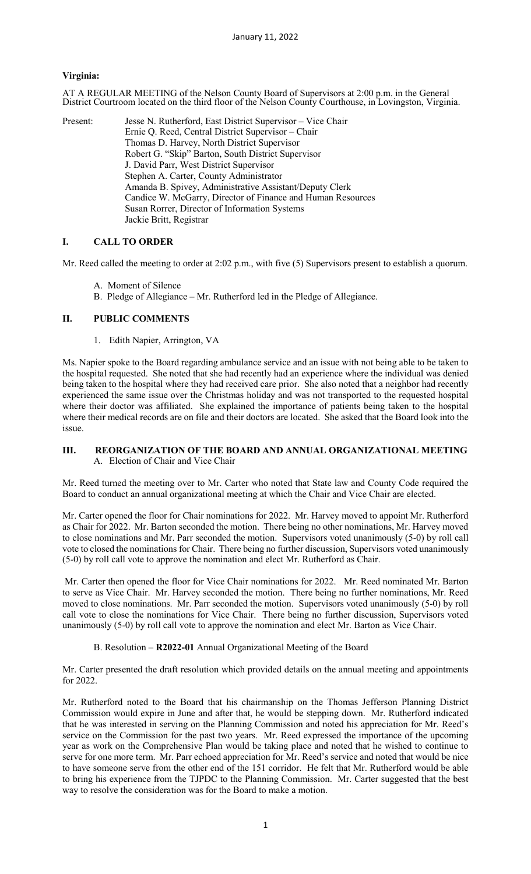### **Virginia:**

AT A REGULAR MEETING of the Nelson County Board of Supervisors at 2:00 p.m. in the General District Courtroom located on the third floor of the Nelson County Courthouse, in Lovingston, Virginia.

Present: Jesse N. Rutherford, East District Supervisor – Vice Chair Ernie Q. Reed, Central District Supervisor – Chair Thomas D. Harvey, North District Supervisor Robert G. "Skip" Barton, South District Supervisor J. David Parr, West District Supervisor Stephen A. Carter, County Administrator Amanda B. Spivey, Administrative Assistant/Deputy Clerk Candice W. McGarry, Director of Finance and Human Resources Susan Rorrer, Director of Information Systems Jackie Britt, Registrar

### **I. CALL TO ORDER**

Mr. Reed called the meeting to order at 2:02 p.m., with five (5) Supervisors present to establish a quorum.

- A. Moment of Silence
- B. Pledge of Allegiance Mr. Rutherford led in the Pledge of Allegiance.

### **II. PUBLIC COMMENTS**

1. Edith Napier, Arrington, VA

Ms. Napier spoke to the Board regarding ambulance service and an issue with not being able to be taken to the hospital requested. She noted that she had recently had an experience where the individual was denied being taken to the hospital where they had received care prior. She also noted that a neighbor had recently experienced the same issue over the Christmas holiday and was not transported to the requested hospital where their doctor was affiliated. She explained the importance of patients being taken to the hospital where their medical records are on file and their doctors are located. She asked that the Board look into the issue.

#### **III. REORGANIZATION OF THE BOARD AND ANNUAL ORGANIZATIONAL MEETING** A. Election of Chair and Vice Chair

Mr. Reed turned the meeting over to Mr. Carter who noted that State law and County Code required the Board to conduct an annual organizational meeting at which the Chair and Vice Chair are elected.

Mr. Carter opened the floor for Chair nominations for 2022. Mr. Harvey moved to appoint Mr. Rutherford as Chair for 2022. Mr. Barton seconded the motion. There being no other nominations, Mr. Harvey moved to close nominations and Mr. Parr seconded the motion. Supervisors voted unanimously (5-0) by roll call vote to closed the nominations for Chair. There being no further discussion, Supervisors voted unanimously (5-0) by roll call vote to approve the nomination and elect Mr. Rutherford as Chair.

Mr. Carter then opened the floor for Vice Chair nominations for 2022. Mr. Reed nominated Mr. Barton to serve as Vice Chair. Mr. Harvey seconded the motion. There being no further nominations, Mr. Reed moved to close nominations. Mr. Parr seconded the motion. Supervisors voted unanimously (5-0) by roll call vote to close the nominations for Vice Chair. There being no further discussion, Supervisors voted unanimously (5-0) by roll call vote to approve the nomination and elect Mr. Barton as Vice Chair.

#### B. Resolution – **R2022-01** Annual Organizational Meeting of the Board

Mr. Carter presented the draft resolution which provided details on the annual meeting and appointments for 2022.

Mr. Rutherford noted to the Board that his chairmanship on the Thomas Jefferson Planning District Commission would expire in June and after that, he would be stepping down. Mr. Rutherford indicated that he was interested in serving on the Planning Commission and noted his appreciation for Mr. Reed's service on the Commission for the past two years. Mr. Reed expressed the importance of the upcoming year as work on the Comprehensive Plan would be taking place and noted that he wished to continue to serve for one more term. Mr. Parr echoed appreciation for Mr. Reed's service and noted that would be nice to have someone serve from the other end of the 151 corridor. He felt that Mr. Rutherford would be able to bring his experience from the TJPDC to the Planning Commission. Mr. Carter suggested that the best way to resolve the consideration was for the Board to make a motion.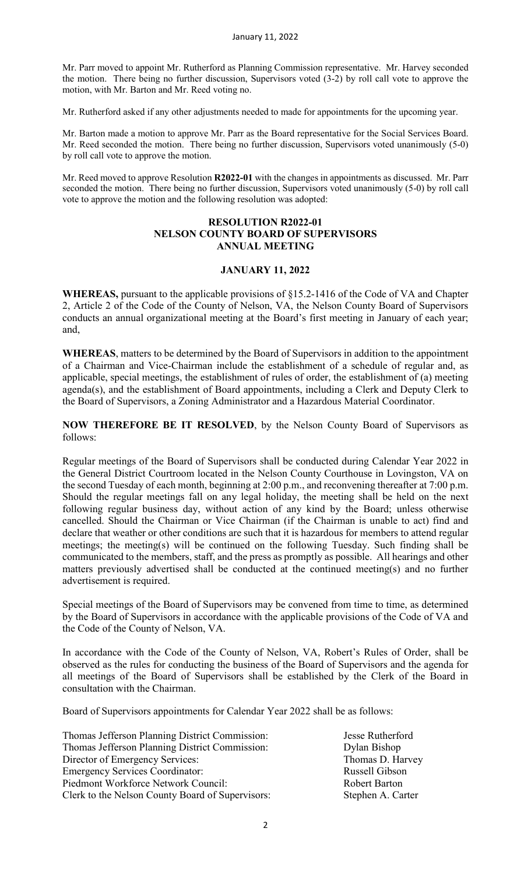Mr. Parr moved to appoint Mr. Rutherford as Planning Commission representative. Mr. Harvey seconded the motion. There being no further discussion, Supervisors voted (3-2) by roll call vote to approve the motion, with Mr. Barton and Mr. Reed voting no.

Mr. Rutherford asked if any other adjustments needed to made for appointments for the upcoming year.

Mr. Barton made a motion to approve Mr. Parr as the Board representative for the Social Services Board. Mr. Reed seconded the motion. There being no further discussion, Supervisors voted unanimously (5-0) by roll call vote to approve the motion.

Mr. Reed moved to approve Resolution **R2022-01** with the changes in appointments as discussed. Mr. Parr seconded the motion. There being no further discussion, Supervisors voted unanimously (5-0) by roll call vote to approve the motion and the following resolution was adopted:

### **RESOLUTION R2022-01 NELSON COUNTY BOARD OF SUPERVISORS ANNUAL MEETING**

# **JANUARY 11, 2022**

**WHEREAS,** pursuant to the applicable provisions of §15.2-1416 of the Code of VA and Chapter 2, Article 2 of the Code of the County of Nelson, VA, the Nelson County Board of Supervisors conducts an annual organizational meeting at the Board's first meeting in January of each year; and,

**WHEREAS**, matters to be determined by the Board of Supervisors in addition to the appointment of a Chairman and Vice-Chairman include the establishment of a schedule of regular and, as applicable, special meetings, the establishment of rules of order, the establishment of (a) meeting agenda(s), and the establishment of Board appointments, including a Clerk and Deputy Clerk to the Board of Supervisors, a Zoning Administrator and a Hazardous Material Coordinator.

**NOW THEREFORE BE IT RESOLVED**, by the Nelson County Board of Supervisors as follows:

Regular meetings of the Board of Supervisors shall be conducted during Calendar Year 2022 in the General District Courtroom located in the Nelson County Courthouse in Lovingston, VA on the second Tuesday of each month, beginning at 2:00 p.m., and reconvening thereafter at 7:00 p.m. Should the regular meetings fall on any legal holiday, the meeting shall be held on the next following regular business day, without action of any kind by the Board; unless otherwise cancelled. Should the Chairman or Vice Chairman (if the Chairman is unable to act) find and declare that weather or other conditions are such that it is hazardous for members to attend regular meetings; the meeting(s) will be continued on the following Tuesday. Such finding shall be communicated to the members, staff, and the press as promptly as possible. All hearings and other matters previously advertised shall be conducted at the continued meeting(s) and no further advertisement is required.

Special meetings of the Board of Supervisors may be convened from time to time, as determined by the Board of Supervisors in accordance with the applicable provisions of the Code of VA and the Code of the County of Nelson, VA.

In accordance with the Code of the County of Nelson, VA, Robert's Rules of Order, shall be observed as the rules for conducting the business of the Board of Supervisors and the agenda for all meetings of the Board of Supervisors shall be established by the Clerk of the Board in consultation with the Chairman.

Board of Supervisors appointments for Calendar Year 2022 shall be as follows:

| Thomas Jefferson Planning District Commission:   | Jesse Rutherford     |
|--------------------------------------------------|----------------------|
| Thomas Jefferson Planning District Commission:   | Dylan Bishop         |
| Director of Emergency Services:                  | Thomas D. Harvey     |
| <b>Emergency Services Coordinator:</b>           | Russell Gibson       |
| Piedmont Workforce Network Council:              | <b>Robert Barton</b> |
| Clerk to the Nelson County Board of Supervisors: | Stephen A. Carter    |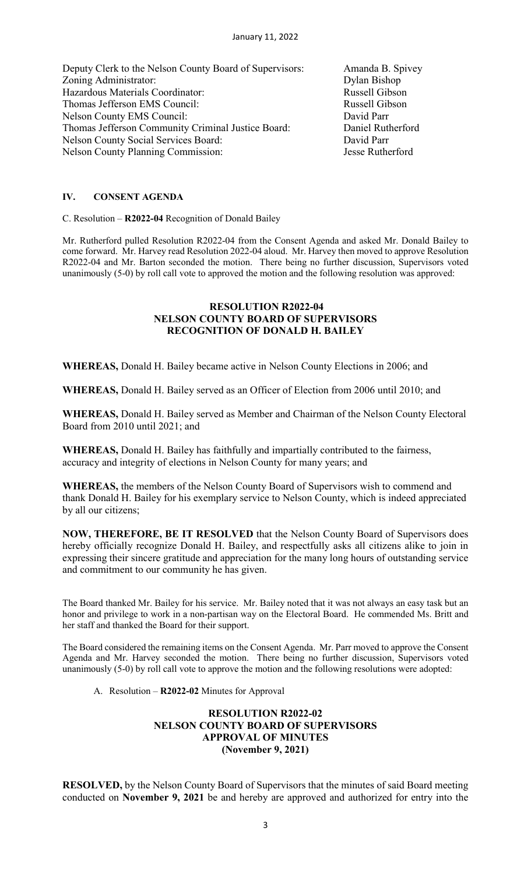Deputy Clerk to the Nelson County Board of Supervisors: Amanda B. Spivey Zoning Administrator: Dylan Bishop<br>
Hazardous Materials Coordinator: Russell Gibson Hazardous Materials Coordinator: Thomas Jefferson EMS Council: Russell Gibson Nelson County EMS Council: David Parr Thomas Jefferson Community Criminal Justice Board: Daniel Rutherford Nelson County Social Services Board: David Parr Nelson County Planning Commission: Jesse Rutherford

### **IV. CONSENT AGENDA**

C. Resolution – **R2022-04** Recognition of Donald Bailey

Mr. Rutherford pulled Resolution R2022-04 from the Consent Agenda and asked Mr. Donald Bailey to come forward. Mr. Harvey read Resolution 2022-04 aloud. Mr. Harvey then moved to approve Resolution R2022-04 and Mr. Barton seconded the motion. There being no further discussion, Supervisors voted unanimously (5-0) by roll call vote to approved the motion and the following resolution was approved:

# **RESOLUTION R2022-04 NELSON COUNTY BOARD OF SUPERVISORS RECOGNITION OF DONALD H. BAILEY**

**WHEREAS,** Donald H. Bailey became active in Nelson County Elections in 2006; and

**WHEREAS,** Donald H. Bailey served as an Officer of Election from 2006 until 2010; and

**WHEREAS,** Donald H. Bailey served as Member and Chairman of the Nelson County Electoral Board from 2010 until 2021; and

**WHEREAS,** Donald H. Bailey has faithfully and impartially contributed to the fairness, accuracy and integrity of elections in Nelson County for many years; and

**WHEREAS,** the members of the Nelson County Board of Supervisors wish to commend and thank Donald H. Bailey for his exemplary service to Nelson County, which is indeed appreciated by all our citizens;

**NOW, THEREFORE, BE IT RESOLVED** that the Nelson County Board of Supervisors does hereby officially recognize Donald H. Bailey, and respectfully asks all citizens alike to join in expressing their sincere gratitude and appreciation for the many long hours of outstanding service and commitment to our community he has given.

The Board thanked Mr. Bailey for his service. Mr. Bailey noted that it was not always an easy task but an honor and privilege to work in a non-partisan way on the Electoral Board. He commended Ms. Britt and her staff and thanked the Board for their support.

The Board considered the remaining items on the Consent Agenda. Mr. Parr moved to approve the Consent Agenda and Mr. Harvey seconded the motion. There being no further discussion, Supervisors voted unanimously (5-0) by roll call vote to approve the motion and the following resolutions were adopted:

A. Resolution – **R2022-02** Minutes for Approval

# **RESOLUTION R2022-02 NELSON COUNTY BOARD OF SUPERVISORS APPROVAL OF MINUTES (November 9, 2021)**

**RESOLVED,** by the Nelson County Board of Supervisors that the minutes of said Board meeting conducted on **November 9, 2021** be and hereby are approved and authorized for entry into the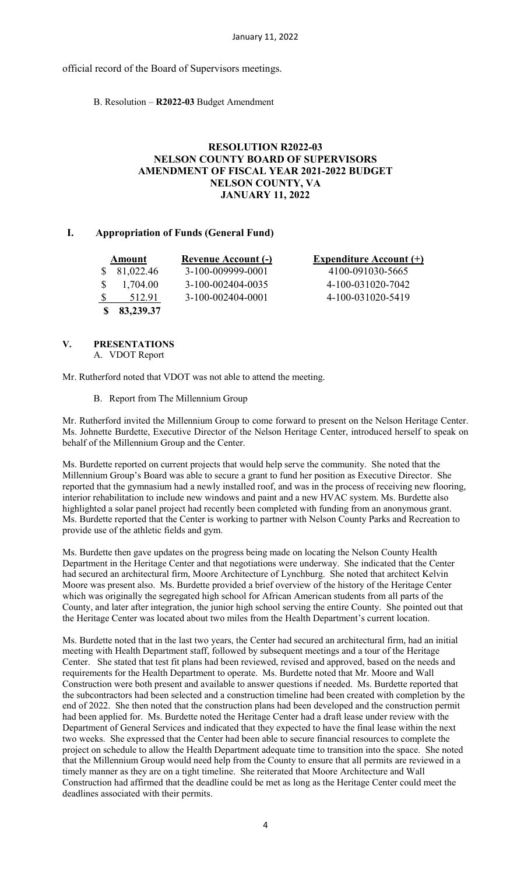official record of the Board of Supervisors meetings.

B. Resolution – **R2022-03** Budget Amendment

# **RESOLUTION R2022-03 NELSON COUNTY BOARD OF SUPERVISORS AMENDMENT OF FISCAL YEAR 2021-2022 BUDGET NELSON COUNTY, VA JANUARY 11, 2022**

# **I. Appropriation of Funds (General Fund)**

| Amount    | <b>Revenue Account (-)</b> | <b>Expenditure Account (+)</b> |
|-----------|----------------------------|--------------------------------|
| 81,022.46 | 3-100-009999-0001          | 4100-091030-5665               |
| 1,704.00  | 3-100-002404-0035          | 4-100-031020-7042              |
| 512.91    | 3-100-002404-0001          | 4-100-031020-5419              |
| 83,239.37 |                            |                                |

# **V. PRESENTATIONS**

A. VDOT Report

Mr. Rutherford noted that VDOT was not able to attend the meeting.

B. Report from The Millennium Group

Mr. Rutherford invited the Millennium Group to come forward to present on the Nelson Heritage Center. Ms. Johnette Burdette, Executive Director of the Nelson Heritage Center, introduced herself to speak on behalf of the Millennium Group and the Center.

Ms. Burdette reported on current projects that would help serve the community. She noted that the Millennium Group's Board was able to secure a grant to fund her position as Executive Director. She reported that the gymnasium had a newly installed roof, and was in the process of receiving new flooring, interior rehabilitation to include new windows and paint and a new HVAC system. Ms. Burdette also highlighted a solar panel project had recently been completed with funding from an anonymous grant. Ms. Burdette reported that the Center is working to partner with Nelson County Parks and Recreation to provide use of the athletic fields and gym.

Ms. Burdette then gave updates on the progress being made on locating the Nelson County Health Department in the Heritage Center and that negotiations were underway. She indicated that the Center had secured an architectural firm, Moore Architecture of Lynchburg. She noted that architect Kelvin Moore was present also. Ms. Burdette provided a brief overview of the history of the Heritage Center which was originally the segregated high school for African American students from all parts of the County, and later after integration, the junior high school serving the entire County. She pointed out that the Heritage Center was located about two miles from the Health Department's current location.

Ms. Burdette noted that in the last two years, the Center had secured an architectural firm, had an initial meeting with Health Department staff, followed by subsequent meetings and a tour of the Heritage Center. She stated that test fit plans had been reviewed, revised and approved, based on the needs and requirements for the Health Department to operate. Ms. Burdette noted that Mr. Moore and Wall Construction were both present and available to answer questions if needed. Ms. Burdette reported that the subcontractors had been selected and a construction timeline had been created with completion by the end of 2022. She then noted that the construction plans had been developed and the construction permit had been applied for. Ms. Burdette noted the Heritage Center had a draft lease under review with the Department of General Services and indicated that they expected to have the final lease within the next two weeks. She expressed that the Center had been able to secure financial resources to complete the project on schedule to allow the Health Department adequate time to transition into the space. She noted that the Millennium Group would need help from the County to ensure that all permits are reviewed in a timely manner as they are on a tight timeline. She reiterated that Moore Architecture and Wall Construction had affirmed that the deadline could be met as long as the Heritage Center could meet the deadlines associated with their permits.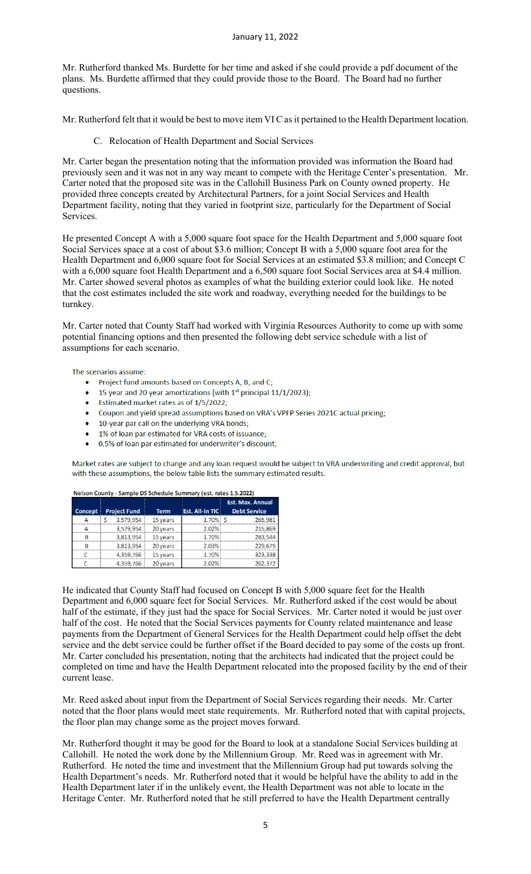Mr. Rutherford thanked Ms. Burdette for her time and asked if she could provide a pdf document of the plans. Ms. Burdette affirmed that they could provide those to the Board. The Board had no further questions.

Mr. Rutherford felt that it would be best to move item VI C as it pertained to the Health Department location.

C. Relocation of Health Department and Social Services

Mr. Carter began the presentation noting that the information provided was information the Board had previously seen and it was not in any way meant to compete with the Heritage Center's presentation. Mr. Carter noted that the proposed site was in the Callohill Business Park on County owned property. He provided three concepts created by Architectural Partners, for a joint Social Services and Health Department facility, noting that they varied in footprint size, particularly for the Department of Social Services.

He presented Concept A with a 5,000 square foot space for the Health Department and 5,000 square foot Social Services space at a cost of about \$3.6 million; Concept B with a 5,000 square foot area for the Health Department and 6,000 square foot for Social Services at an estimated \$3.8 million; and Concept C with a 6,000 square foot Health Department and a 6,500 square foot Social Services area at \$4.4 million. Mr. Carter showed several photos as examples of what the building exterior could look like. He noted that the cost estimates included the site work and roadway, everything needed for the buildings to be turnkey.

Mr. Carter noted that County Staff had worked with Virginia Resources Authority to come up with some potential financing options and then presented the following debt service schedule with a list of assumptions for each scenario.

The scenarios assume:

- Project fund amounts based on Concepts A, B, and C;
- 15 year and 20 year amortizations (with  $1<sup>st</sup>$  principal 11/1/2023);
- Estimated market rates as of 1/5/2022;
- Coupon and yield spread assumptions based on VRA's VPFP Series 2021C actual pricing;
- 10-year par call on the underlying VRA bonds;
- 1% of loan par estimated for VRA costs of issuance;
- 0.5% of loan par estimated for underwriter's discount;

Market rates are subject to change and any loan request would be subject to VRA underwriting and credit approval, but with these assumptions, the below table lists the summary estimated results.

|                |                     |             |                 | <b>Est. Max. Annual</b> |  |
|----------------|---------------------|-------------|-----------------|-------------------------|--|
| <b>Concept</b> | <b>Project Fund</b> | <b>Term</b> | Est. All-In TIC | <b>Debt Service</b>     |  |
|                | 3.579.954           | 15 years    | 1.70%           | 265.981                 |  |
|                | 3.579.954           | 20 years    | 2.02%           | 215.869                 |  |
|                | 3.813.954           | 15 years    | 1.70%           |                         |  |
|                | 3.813.954           | 20 years    | ን በ3%           | 229 R                   |  |
|                | 4,359,766           | 15 years    | 1.70%           | 323.338                 |  |
|                | 4,359,766           | vears       |                 |                         |  |

Nelson County - Sample DS Schedule Summary (est. rates 1.5.2022)

He indicated that County Staff had focused on Concept B with 5,000 square feet for the Health Department and 6,000 square feet for Social Services. Mr. Rutherford asked if the cost would be about half of the estimate, if they just had the space for Social Services. Mr. Carter noted it would be just over half of the cost. He noted that the Social Services payments for County related maintenance and lease payments from the Department of General Services for the Health Department could help offset the debt service and the debt service could be further offset if the Board decided to pay some of the costs up front. Mr. Carter concluded his presentation, noting that the architects had indicated that the project could be completed on time and have the Health Department relocated into the proposed facility by the end of their current lease.

Mr. Reed asked about input from the Department of Social Services regarding their needs. Mr. Carter noted that the floor plans would meet state requirements. Mr. Rutherford noted that with capital projects, the floor plan may change some as the project moves forward.

Mr. Rutherford thought it may be good for the Board to look at a standalone Social Services building at Callohill. He noted the work done by the Millennium Group. Mr. Reed was in agreement with Mr. Rutherford. He noted the time and investment that the Millennium Group had put towards solving the Health Department's needs. Mr. Rutherford noted that it would be helpful have the ability to add in the Health Department later if in the unlikely event, the Health Department was not able to locate in the Heritage Center. Mr. Rutherford noted that he still preferred to have the Health Department centrally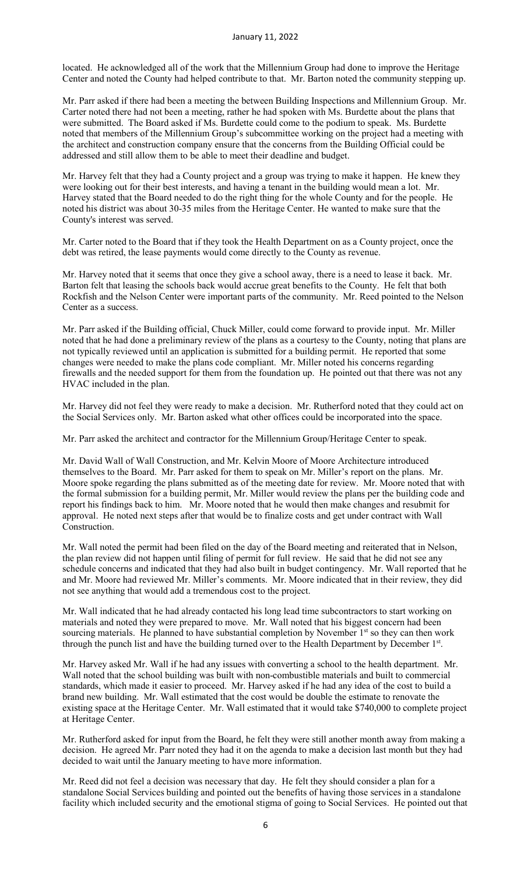located. He acknowledged all of the work that the Millennium Group had done to improve the Heritage Center and noted the County had helped contribute to that. Mr. Barton noted the community stepping up.

Mr. Parr asked if there had been a meeting the between Building Inspections and Millennium Group. Mr. Carter noted there had not been a meeting, rather he had spoken with Ms. Burdette about the plans that were submitted. The Board asked if Ms. Burdette could come to the podium to speak. Ms. Burdette noted that members of the Millennium Group's subcommittee working on the project had a meeting with the architect and construction company ensure that the concerns from the Building Official could be addressed and still allow them to be able to meet their deadline and budget.

Mr. Harvey felt that they had a County project and a group was trying to make it happen. He knew they were looking out for their best interests, and having a tenant in the building would mean a lot. Mr. Harvey stated that the Board needed to do the right thing for the whole County and for the people. He noted his district was about 30-35 miles from the Heritage Center. He wanted to make sure that the County's interest was served.

Mr. Carter noted to the Board that if they took the Health Department on as a County project, once the debt was retired, the lease payments would come directly to the County as revenue.

Mr. Harvey noted that it seems that once they give a school away, there is a need to lease it back. Mr. Barton felt that leasing the schools back would accrue great benefits to the County. He felt that both Rockfish and the Nelson Center were important parts of the community. Mr. Reed pointed to the Nelson Center as a success.

Mr. Parr asked if the Building official, Chuck Miller, could come forward to provide input. Mr. Miller noted that he had done a preliminary review of the plans as a courtesy to the County, noting that plans are not typically reviewed until an application is submitted for a building permit. He reported that some changes were needed to make the plans code compliant. Mr. Miller noted his concerns regarding firewalls and the needed support for them from the foundation up. He pointed out that there was not any HVAC included in the plan.

Mr. Harvey did not feel they were ready to make a decision. Mr. Rutherford noted that they could act on the Social Services only. Mr. Barton asked what other offices could be incorporated into the space.

Mr. Parr asked the architect and contractor for the Millennium Group/Heritage Center to speak.

Mr. David Wall of Wall Construction, and Mr. Kelvin Moore of Moore Architecture introduced themselves to the Board. Mr. Parr asked for them to speak on Mr. Miller's report on the plans. Mr. Moore spoke regarding the plans submitted as of the meeting date for review. Mr. Moore noted that with the formal submission for a building permit, Mr. Miller would review the plans per the building code and report his findings back to him. Mr. Moore noted that he would then make changes and resubmit for approval. He noted next steps after that would be to finalize costs and get under contract with Wall Construction.

Mr. Wall noted the permit had been filed on the day of the Board meeting and reiterated that in Nelson, the plan review did not happen until filing of permit for full review. He said that he did not see any schedule concerns and indicated that they had also built in budget contingency. Mr. Wall reported that he and Mr. Moore had reviewed Mr. Miller's comments. Mr. Moore indicated that in their review, they did not see anything that would add a tremendous cost to the project.

Mr. Wall indicated that he had already contacted his long lead time subcontractors to start working on materials and noted they were prepared to move. Mr. Wall noted that his biggest concern had been sourcing materials. He planned to have substantial completion by November 1<sup>st</sup> so they can then work through the punch list and have the building turned over to the Health Department by December 1st.

Mr. Harvey asked Mr. Wall if he had any issues with converting a school to the health department. Mr. Wall noted that the school building was built with non-combustible materials and built to commercial standards, which made it easier to proceed. Mr. Harvey asked if he had any idea of the cost to build a brand new building. Mr. Wall estimated that the cost would be double the estimate to renovate the existing space at the Heritage Center. Mr. Wall estimated that it would take \$740,000 to complete project at Heritage Center.

Mr. Rutherford asked for input from the Board, he felt they were still another month away from making a decision. He agreed Mr. Parr noted they had it on the agenda to make a decision last month but they had decided to wait until the January meeting to have more information.

Mr. Reed did not feel a decision was necessary that day. He felt they should consider a plan for a standalone Social Services building and pointed out the benefits of having those services in a standalone facility which included security and the emotional stigma of going to Social Services. He pointed out that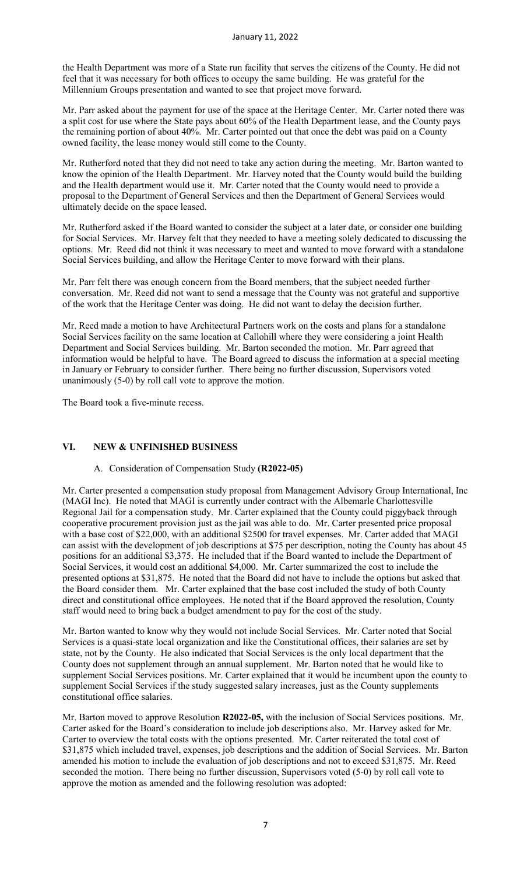the Health Department was more of a State run facility that serves the citizens of the County. He did not feel that it was necessary for both offices to occupy the same building. He was grateful for the Millennium Groups presentation and wanted to see that project move forward.

Mr. Parr asked about the payment for use of the space at the Heritage Center. Mr. Carter noted there was a split cost for use where the State pays about 60% of the Health Department lease, and the County pays the remaining portion of about 40%. Mr. Carter pointed out that once the debt was paid on a County owned facility, the lease money would still come to the County.

Mr. Rutherford noted that they did not need to take any action during the meeting. Mr. Barton wanted to know the opinion of the Health Department. Mr. Harvey noted that the County would build the building and the Health department would use it. Mr. Carter noted that the County would need to provide a proposal to the Department of General Services and then the Department of General Services would ultimately decide on the space leased.

Mr. Rutherford asked if the Board wanted to consider the subject at a later date, or consider one building for Social Services. Mr. Harvey felt that they needed to have a meeting solely dedicated to discussing the options. Mr. Reed did not think it was necessary to meet and wanted to move forward with a standalone Social Services building, and allow the Heritage Center to move forward with their plans.

Mr. Parr felt there was enough concern from the Board members, that the subject needed further conversation. Mr. Reed did not want to send a message that the County was not grateful and supportive of the work that the Heritage Center was doing. He did not want to delay the decision further.

Mr. Reed made a motion to have Architectural Partners work on the costs and plans for a standalone Social Services facility on the same location at Callohill where they were considering a joint Health Department and Social Services building. Mr. Barton seconded the motion. Mr. Parr agreed that information would be helpful to have. The Board agreed to discuss the information at a special meeting in January or February to consider further. There being no further discussion, Supervisors voted unanimously (5-0) by roll call vote to approve the motion.

The Board took a five-minute recess.

### **VI. NEW & UNFINISHED BUSINESS**

#### A. Consideration of Compensation Study **(R2022-05)**

Mr. Carter presented a compensation study proposal from Management Advisory Group International, Inc (MAGI Inc). He noted that MAGI is currently under contract with the Albemarle Charlottesville Regional Jail for a compensation study. Mr. Carter explained that the County could piggyback through cooperative procurement provision just as the jail was able to do. Mr. Carter presented price proposal with a base cost of \$22,000, with an additional \$2500 for travel expenses. Mr. Carter added that MAGI can assist with the development of job descriptions at \$75 per description, noting the County has about 45 positions for an additional \$3,375. He included that if the Board wanted to include the Department of Social Services, it would cost an additional \$4,000. Mr. Carter summarized the cost to include the presented options at \$31,875. He noted that the Board did not have to include the options but asked that the Board consider them. Mr. Carter explained that the base cost included the study of both County direct and constitutional office employees. He noted that if the Board approved the resolution, County staff would need to bring back a budget amendment to pay for the cost of the study.

Mr. Barton wanted to know why they would not include Social Services. Mr. Carter noted that Social Services is a quasi-state local organization and like the Constitutional offices, their salaries are set by state, not by the County. He also indicated that Social Services is the only local department that the County does not supplement through an annual supplement. Mr. Barton noted that he would like to supplement Social Services positions. Mr. Carter explained that it would be incumbent upon the county to supplement Social Services if the study suggested salary increases, just as the County supplements constitutional office salaries.

Mr. Barton moved to approve Resolution **R2022-05,** with the inclusion of Social Services positions. Mr. Carter asked for the Board's consideration to include job descriptions also. Mr. Harvey asked for Mr. Carter to overview the total costs with the options presented. Mr. Carter reiterated the total cost of \$31,875 which included travel, expenses, job descriptions and the addition of Social Services. Mr. Barton amended his motion to include the evaluation of job descriptions and not to exceed \$31,875. Mr. Reed seconded the motion. There being no further discussion, Supervisors voted (5-0) by roll call vote to approve the motion as amended and the following resolution was adopted: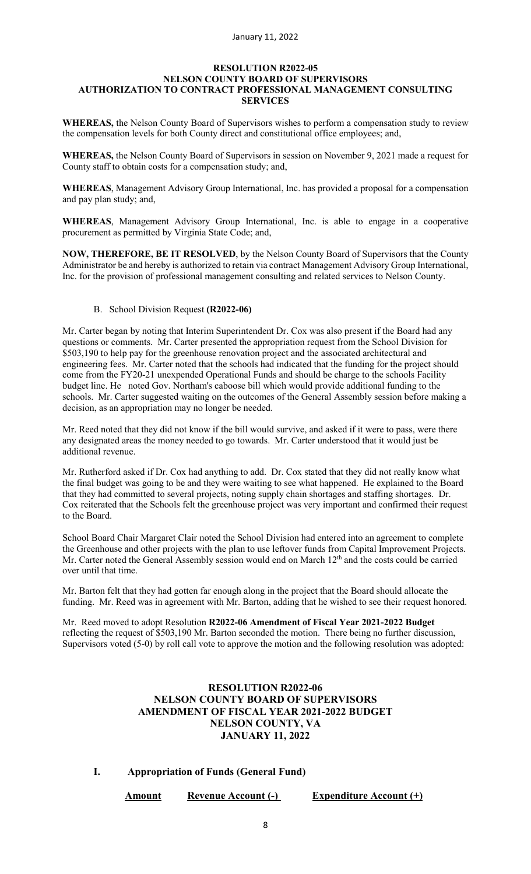#### **RESOLUTION R2022-05 NELSON COUNTY BOARD OF SUPERVISORS AUTHORIZATION TO CONTRACT PROFESSIONAL MANAGEMENT CONSULTING SERVICES**

**WHEREAS,** the Nelson County Board of Supervisors wishes to perform a compensation study to review the compensation levels for both County direct and constitutional office employees; and,

**WHEREAS,** the Nelson County Board of Supervisors in session on November 9, 2021 made a request for County staff to obtain costs for a compensation study; and,

**WHEREAS**, Management Advisory Group International, Inc. has provided a proposal for a compensation and pay plan study; and,

**WHEREAS**, Management Advisory Group International, Inc. is able to engage in a cooperative procurement as permitted by Virginia State Code; and,

**NOW, THEREFORE, BE IT RESOLVED**, by the Nelson County Board of Supervisors that the County Administrator be and hereby is authorized to retain via contract Management Advisory Group International, Inc. for the provision of professional management consulting and related services to Nelson County.

B. School Division Request **(R2022-06)**

Mr. Carter began by noting that Interim Superintendent Dr. Cox was also present if the Board had any questions or comments. Mr. Carter presented the appropriation request from the School Division for \$503,190 to help pay for the greenhouse renovation project and the associated architectural and engineering fees. Mr. Carter noted that the schools had indicated that the funding for the project should come from the FY20-21 unexpended Operational Funds and should be charge to the schools Facility budget line. He noted Gov. Northam's caboose bill which would provide additional funding to the schools. Mr. Carter suggested waiting on the outcomes of the General Assembly session before making a decision, as an appropriation may no longer be needed.

Mr. Reed noted that they did not know if the bill would survive, and asked if it were to pass, were there any designated areas the money needed to go towards. Mr. Carter understood that it would just be additional revenue.

Mr. Rutherford asked if Dr. Cox had anything to add. Dr. Cox stated that they did not really know what the final budget was going to be and they were waiting to see what happened. He explained to the Board that they had committed to several projects, noting supply chain shortages and staffing shortages. Dr. Cox reiterated that the Schools felt the greenhouse project was very important and confirmed their request to the Board.

School Board Chair Margaret Clair noted the School Division had entered into an agreement to complete the Greenhouse and other projects with the plan to use leftover funds from Capital Improvement Projects. Mr. Carter noted the General Assembly session would end on March 12<sup>th</sup> and the costs could be carried over until that time.

Mr. Barton felt that they had gotten far enough along in the project that the Board should allocate the funding. Mr. Reed was in agreement with Mr. Barton, adding that he wished to see their request honored.

Mr. Reed moved to adopt Resolution **R2022-06 Amendment of Fiscal Year 2021-2022 Budget** reflecting the request of \$503,190 Mr. Barton seconded the motion. There being no further discussion, Supervisors voted (5-0) by roll call vote to approve the motion and the following resolution was adopted:

# **RESOLUTION R2022-06 NELSON COUNTY BOARD OF SUPERVISORS AMENDMENT OF FISCAL YEAR 2021-2022 BUDGET NELSON COUNTY, VA JANUARY 11, 2022**

**I. Appropriation of Funds (General Fund)** 

**Amount Revenue Account (-) Expenditure Account (+)**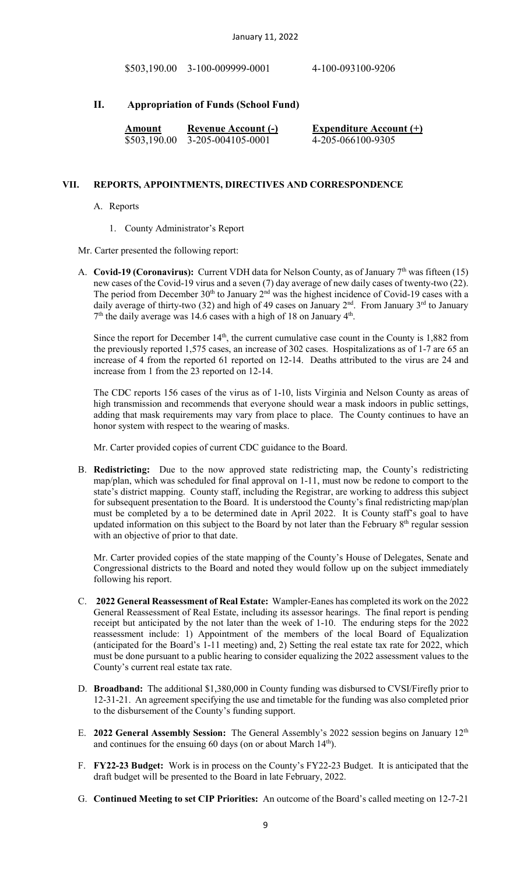\$503,190.00 3-100-009999-0001 4-100-093100-9206

# **II. Appropriation of Funds (School Fund)**

| Amount       | <b>Revenue Account (-)</b> | <b>Expenditure Account (+)</b> |
|--------------|----------------------------|--------------------------------|
| \$503,190.00 | 3-205-004105-0001          | 4-205-066100-9305              |

#### **VII. REPORTS, APPOINTMENTS, DIRECTIVES AND CORRESPONDENCE**

- A. Reports
	- 1. County Administrator's Report

#### Mr. Carter presented the following report:

A. **Covid-19 (Coronavirus):** Current VDH data for Nelson County, as of January 7<sup>th</sup> was fifteen (15) new cases of the Covid-19 virus and a seven (7) day average of new daily cases of twenty-two (22). The period from December  $30<sup>th</sup>$  to January  $2<sup>nd</sup>$  was the highest incidence of Covid-19 cases with a daily average of thirty-two (32) and high of 49 cases on January  $2^{nd}$ . From January  $3^{rd}$  to January  $7<sup>th</sup>$  the daily average was 14.6 cases with a high of 18 on January  $4<sup>th</sup>$ .

Since the report for December  $14<sup>th</sup>$ , the current cumulative case count in the County is 1,882 from the previously reported 1,575 cases, an increase of 302 cases. Hospitalizations as of 1-7 are 65 an increase of 4 from the reported 61 reported on 12-14. Deaths attributed to the virus are 24 and increase from 1 from the 23 reported on 12-14.

The CDC reports 156 cases of the virus as of 1-10, lists Virginia and Nelson County as areas of high transmission and recommends that everyone should wear a mask indoors in public settings, adding that mask requirements may vary from place to place. The County continues to have an honor system with respect to the wearing of masks.

Mr. Carter provided copies of current CDC guidance to the Board.

B. **Redistricting:** Due to the now approved state redistricting map, the County's redistricting map/plan, which was scheduled for final approval on 1-11, must now be redone to comport to the state's district mapping. County staff, including the Registrar, are working to address this subject for subsequent presentation to the Board. It is understood the County's final redistricting map/plan must be completed by a to be determined date in April 2022. It is County staff's goal to have updated information on this subject to the Board by not later than the February  $8<sup>th</sup>$  regular session with an objective of prior to that date.

Mr. Carter provided copies of the state mapping of the County's House of Delegates, Senate and Congressional districts to the Board and noted they would follow up on the subject immediately following his report.

- C. **2022 General Reassessment of Real Estate:** Wampler-Eanes has completed its work on the 2022 General Reassessment of Real Estate, including its assessor hearings. The final report is pending receipt but anticipated by the not later than the week of 1-10. The enduring steps for the 2022 reassessment include: 1) Appointment of the members of the local Board of Equalization (anticipated for the Board's 1-11 meeting) and, 2) Setting the real estate tax rate for 2022, which must be done pursuant to a public hearing to consider equalizing the 2022 assessment values to the County's current real estate tax rate.
- D. **Broadband:** The additional \$1,380,000 in County funding was disbursed to CVSI/Firefly prior to 12-31-21. An agreement specifying the use and timetable for the funding was also completed prior to the disbursement of the County's funding support.
- E. **2022 General Assembly Session:** The General Assembly's 2022 session begins on January 12th and continues for the ensuing 60 days (on or about March 14<sup>th</sup>).
- F. **FY22-23 Budget:** Work is in process on the County's FY22-23 Budget. It is anticipated that the draft budget will be presented to the Board in late February, 2022.
- G. **Continued Meeting to set CIP Priorities:** An outcome of the Board's called meeting on 12-7-21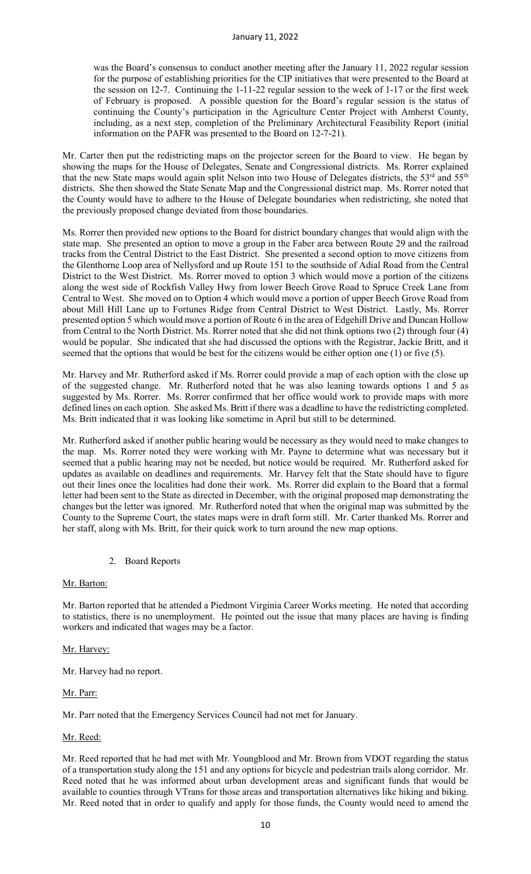was the Board's consensus to conduct another meeting after the January 11, 2022 regular session for the purpose of establishing priorities for the CIP initiatives that were presented to the Board at the session on 12-7. Continuing the 1-11-22 regular session to the week of 1-17 or the first week of February is proposed. A possible question for the Board's regular session is the status of continuing the County's participation in the Agriculture Center Project with Amherst County, including, as a next step, completion of the Preliminary Architectural Feasibility Report (initial information on the PAFR was presented to the Board on 12-7-21).

Mr. Carter then put the redistricting maps on the projector screen for the Board to view. He began by showing the maps for the House of Delegates, Senate and Congressional districts. Ms. Rorrer explained that the new State maps would again split Nelson into two House of Delegates districts, the 53<sup>rd</sup> and 55<sup>th</sup> districts. She then showed the State Senate Map and the Congressional district map. Ms. Rorrer noted that the County would have to adhere to the House of Delegate boundaries when redistricting, she noted that the previously proposed change deviated from those boundaries.

Ms. Rorrer then provided new options to the Board for district boundary changes that would align with the state map. She presented an option to move a group in the Faber area between Route 29 and the railroad tracks from the Central District to the East District. She presented a second option to move citizens from the Glenthorne Loop area of Nellysford and up Route 151 to the southside of Adial Road from the Central District to the West District. Ms. Rorrer moved to option 3 which would move a portion of the citizens along the west side of Rockfish Valley Hwy from lower Beech Grove Road to Spruce Creek Lane from Central to West. She moved on to Option 4 which would move a portion of upper Beech Grove Road from about Mill Hill Lane up to Fortunes Ridge from Central District to West District. Lastly, Ms. Rorrer presented option 5 which would move a portion of Route 6 in the area of Edgehill Drive and Duncan Hollow from Central to the North District. Ms. Rorrer noted that she did not think options two (2) through four (4) would be popular. She indicated that she had discussed the options with the Registrar, Jackie Britt, and it seemed that the options that would be best for the citizens would be either option one (1) or five (5).

Mr. Harvey and Mr. Rutherford asked if Ms. Rorrer could provide a map of each option with the close up of the suggested change. Mr. Rutherford noted that he was also leaning towards options 1 and 5 as suggested by Ms. Rorrer. Ms. Rorrer confirmed that her office would work to provide maps with more defined lines on each option. She asked Ms. Britt if there was a deadline to have the redistricting completed. Ms. Britt indicated that it was looking like sometime in April but still to be determined.

Mr. Rutherford asked if another public hearing would be necessary as they would need to make changes to the map. Ms. Rorrer noted they were working with Mr. Payne to determine what was necessary but it seemed that a public hearing may not be needed, but notice would be required. Mr. Rutherford asked for updates as available on deadlines and requirements. Mr. Harvey felt that the State should have to figure out their lines once the localities had done their work. Ms. Rorrer did explain to the Board that a formal letter had been sent to the State as directed in December, with the original proposed map demonstrating the changes but the letter was ignored. Mr. Rutherford noted that when the original map was submitted by the County to the Supreme Court, the states maps were in draft form still. Mr. Carter thanked Ms. Rorrer and her staff, along with Ms. Britt, for their quick work to turn around the new map options.

2. Board Reports

#### Mr. Barton:

Mr. Barton reported that he attended a Piedmont Virginia Career Works meeting. He noted that according to statistics, there is no unemployment. He pointed out the issue that many places are having is finding workers and indicated that wages may be a factor.

#### Mr. Harvey:

Mr. Harvey had no report.

Mr. Parr:

Mr. Parr noted that the Emergency Services Council had not met for January.

#### Mr. Reed:

Mr. Reed reported that he had met with Mr. Youngblood and Mr. Brown from VDOT regarding the status of a transportation study along the 151 and any options for bicycle and pedestrian trails along corridor. Mr. Reed noted that he was informed about urban development areas and significant funds that would be available to counties through VTrans for those areas and transportation alternatives like hiking and biking. Mr. Reed noted that in order to qualify and apply for those funds, the County would need to amend the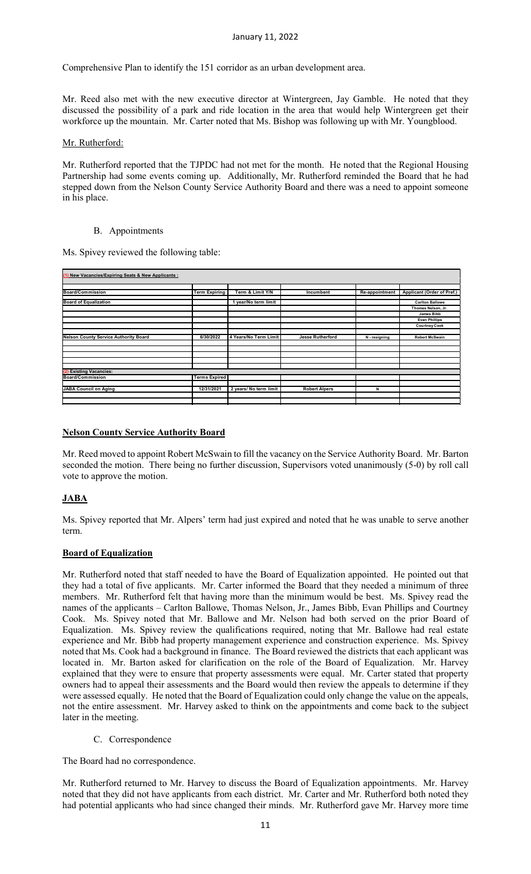#### January 11, 2022

Comprehensive Plan to identify the 151 corridor as an urban development area.

Mr. Reed also met with the new executive director at Wintergreen, Jay Gamble. He noted that they discussed the possibility of a park and ride location in the area that would help Wintergreen get their workforce up the mountain. Mr. Carter noted that Ms. Bishop was following up with Mr. Youngblood.

### Mr. Rutherford:

Mr. Rutherford reported that the TJPDC had not met for the month. He noted that the Regional Housing Partnership had some events coming up. Additionally, Mr. Rutherford reminded the Board that he had stepped down from the Nelson County Service Authority Board and there was a need to appoint someone in his place.

#### B. Appointments

Ms. Spivey reviewed the following table:

| (1) New Vacancies/Expiring Seats & New Applicants : |                      |                        |                         |                |                            |  |
|-----------------------------------------------------|----------------------|------------------------|-------------------------|----------------|----------------------------|--|
| <b>Board/Commission</b>                             | <b>Term Expiring</b> | Term & Limit Y/N       | Incumbent               | Re-appointment | Applicant (Order of Pref.) |  |
| <b>Board of Equalization</b>                        |                      | 1 year/No term limit   |                         |                | <b>Carlton Ballowe</b>     |  |
|                                                     |                      |                        |                         |                | Thomas Nelson, Jr.         |  |
|                                                     |                      |                        |                         |                | James Bibb                 |  |
|                                                     |                      |                        |                         |                | <b>Evan Phillips</b>       |  |
|                                                     |                      |                        |                         |                | <b>Courtney Cook</b>       |  |
|                                                     |                      |                        |                         |                |                            |  |
| <b>Nelson County Service Authority Board</b>        | 6/30/2022            | 4 Years/No Term Limit  | <b>Jesse Rutherford</b> | N - resigning  | <b>Robert McSwain</b>      |  |
|                                                     |                      |                        |                         |                |                            |  |
|                                                     |                      |                        |                         |                |                            |  |
|                                                     |                      |                        |                         |                |                            |  |
|                                                     |                      |                        |                         |                |                            |  |
|                                                     |                      |                        |                         |                |                            |  |
| <b>Existing Vacancies:</b>                          |                      |                        |                         |                |                            |  |
| <b>Board/Commission</b>                             | <b>Terms Expired</b> |                        |                         |                |                            |  |
|                                                     |                      |                        |                         |                |                            |  |
| <b>JABA Council on Aging</b>                        | 12/31/2021           | 2 years/ No term limit | <b>Robert Alpers</b>    | N              |                            |  |
|                                                     |                      |                        |                         |                |                            |  |
|                                                     |                      |                        |                         |                |                            |  |

# **Nelson County Service Authority Board**

Mr. Reed moved to appoint Robert McSwain to fill the vacancy on the Service Authority Board. Mr. Barton seconded the motion. There being no further discussion, Supervisors voted unanimously (5-0) by roll call vote to approve the motion.

# **JABA**

Ms. Spivey reported that Mr. Alpers' term had just expired and noted that he was unable to serve another term.

# **Board of Equalization**

Mr. Rutherford noted that staff needed to have the Board of Equalization appointed. He pointed out that they had a total of five applicants. Mr. Carter informed the Board that they needed a minimum of three members. Mr. Rutherford felt that having more than the minimum would be best. Ms. Spivey read the names of the applicants – Carlton Ballowe, Thomas Nelson, Jr., James Bibb, Evan Phillips and Courtney Cook. Ms. Spivey noted that Mr. Ballowe and Mr. Nelson had both served on the prior Board of Equalization. Ms. Spivey review the qualifications required, noting that Mr. Ballowe had real estate experience and Mr. Bibb had property management experience and construction experience. Ms. Spivey noted that Ms. Cook had a background in finance. The Board reviewed the districts that each applicant was located in. Mr. Barton asked for clarification on the role of the Board of Equalization. Mr. Harvey explained that they were to ensure that property assessments were equal. Mr. Carter stated that property owners had to appeal their assessments and the Board would then review the appeals to determine if they were assessed equally. He noted that the Board of Equalization could only change the value on the appeals, not the entire assessment. Mr. Harvey asked to think on the appointments and come back to the subject later in the meeting.

C. Correspondence

The Board had no correspondence.

Mr. Rutherford returned to Mr. Harvey to discuss the Board of Equalization appointments. Mr. Harvey noted that they did not have applicants from each district. Mr. Carter and Mr. Rutherford both noted they had potential applicants who had since changed their minds. Mr. Rutherford gave Mr. Harvey more time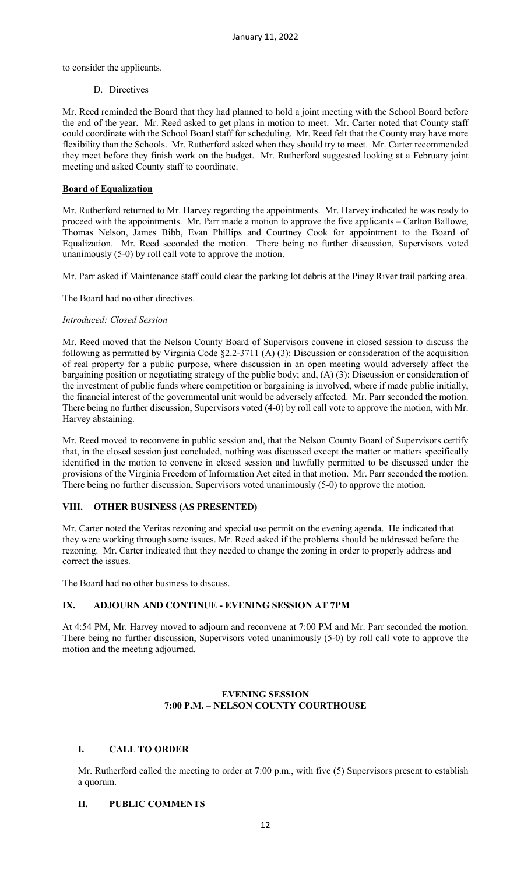to consider the applicants.

#### D. Directives

Mr. Reed reminded the Board that they had planned to hold a joint meeting with the School Board before the end of the year. Mr. Reed asked to get plans in motion to meet. Mr. Carter noted that County staff could coordinate with the School Board staff for scheduling. Mr. Reed felt that the County may have more flexibility than the Schools. Mr. Rutherford asked when they should try to meet. Mr. Carter recommended they meet before they finish work on the budget. Mr. Rutherford suggested looking at a February joint meeting and asked County staff to coordinate.

### **Board of Equalization**

Mr. Rutherford returned to Mr. Harvey regarding the appointments. Mr. Harvey indicated he was ready to proceed with the appointments. Mr. Parr made a motion to approve the five applicants – Carlton Ballowe, Thomas Nelson, James Bibb, Evan Phillips and Courtney Cook for appointment to the Board of Equalization. Mr. Reed seconded the motion. There being no further discussion, Supervisors voted unanimously (5-0) by roll call vote to approve the motion.

Mr. Parr asked if Maintenance staff could clear the parking lot debris at the Piney River trail parking area.

The Board had no other directives.

### *Introduced: Closed Session*

Mr. Reed moved that the Nelson County Board of Supervisors convene in closed session to discuss the following as permitted by Virginia Code §2.2-3711 (A) (3): Discussion or consideration of the acquisition of real property for a public purpose, where discussion in an open meeting would adversely affect the bargaining position or negotiating strategy of the public body; and, (A) (3): Discussion or consideration of the investment of public funds where competition or bargaining is involved, where if made public initially, the financial interest of the governmental unit would be adversely affected. Mr. Parr seconded the motion. There being no further discussion, Supervisors voted (4-0) by roll call vote to approve the motion, with Mr. Harvey abstaining.

Mr. Reed moved to reconvene in public session and, that the Nelson County Board of Supervisors certify that, in the closed session just concluded, nothing was discussed except the matter or matters specifically identified in the motion to convene in closed session and lawfully permitted to be discussed under the provisions of the Virginia Freedom of Information Act cited in that motion. Mr. Parr seconded the motion. There being no further discussion, Supervisors voted unanimously (5-0) to approve the motion.

# **VIII. OTHER BUSINESS (AS PRESENTED)**

Mr. Carter noted the Veritas rezoning and special use permit on the evening agenda. He indicated that they were working through some issues. Mr. Reed asked if the problems should be addressed before the rezoning. Mr. Carter indicated that they needed to change the zoning in order to properly address and correct the issues.

The Board had no other business to discuss.

# **IX. ADJOURN AND CONTINUE - EVENING SESSION AT 7PM**

At 4:54 PM, Mr. Harvey moved to adjourn and reconvene at 7:00 PM and Mr. Parr seconded the motion. There being no further discussion, Supervisors voted unanimously (5-0) by roll call vote to approve the motion and the meeting adjourned.

### **EVENING SESSION 7:00 P.M. – NELSON COUNTY COURTHOUSE**

# **I. CALL TO ORDER**

Mr. Rutherford called the meeting to order at 7:00 p.m., with five (5) Supervisors present to establish a quorum.

### **II. PUBLIC COMMENTS**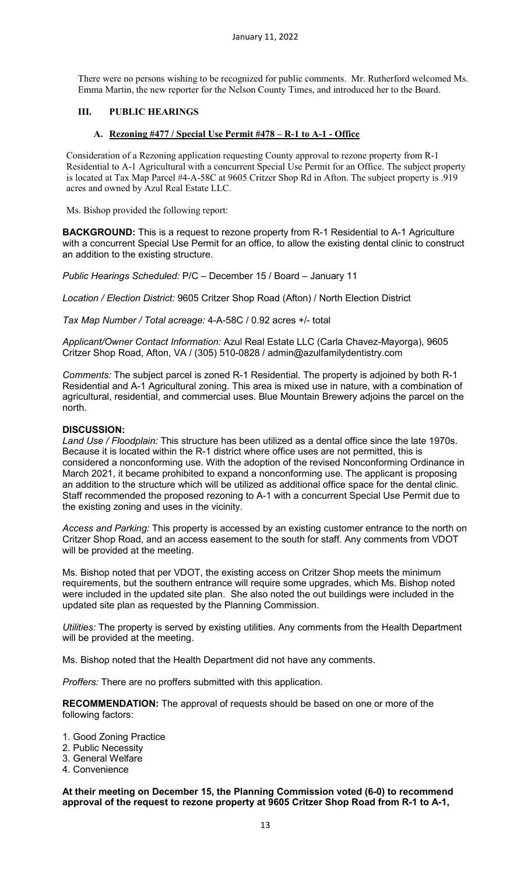There were no persons wishing to be recognized for public comments. Mr. Rutherford welcomed Ms. Emma Martin, the new reporter for the Nelson County Times, and introduced her to the Board.

### **III. PUBLIC HEARINGS**

### **A. Rezoning #477 / Special Use Permit #478 – R-1 to A-1 - Office**

Consideration of a Rezoning application requesting County approval to rezone property from R-1 Residential to A-1 Agricultural with a concurrent Special Use Permit for an Office. The subject property is located at Tax Map Parcel #4-A-58C at 9605 Critzer Shop Rd in Afton. The subject property is .919 acres and owned by Azul Real Estate LLC.

Ms. Bishop provided the following report:

**BACKGROUND:** This is a request to rezone property from R-1 Residential to A-1 Agriculture with a concurrent Special Use Permit for an office, to allow the existing dental clinic to construct an addition to the existing structure.

*Public Hearings Scheduled:* P/C – December 15 / Board – January 11

*Location / Election District:* 9605 Critzer Shop Road (Afton) / North Election District

*Tax Map Number / Total acreage:* 4-A-58C / 0.92 acres +/- total

*Applicant/Owner Contact Information:* Azul Real Estate LLC (Carla Chavez-Mayorga), 9605 Critzer Shop Road, Afton, VA / (305) 510-0828 / admin@azulfamilydentistry.com

*Comments:* The subject parcel is zoned R-1 Residential. The property is adjoined by both R-1 Residential and A-1 Agricultural zoning. This area is mixed use in nature, with a combination of agricultural, residential, and commercial uses. Blue Mountain Brewery adjoins the parcel on the north.

### **DISCUSSION:**

*Land Use / Floodplain:* This structure has been utilized as a dental office since the late 1970s. Because it is located within the R-1 district where office uses are not permitted, this is considered a nonconforming use. With the adoption of the revised Nonconforming Ordinance in March 2021, it became prohibited to expand a nonconforming use. The applicant is proposing an addition to the structure which will be utilized as additional office space for the dental clinic. Staff recommended the proposed rezoning to A-1 with a concurrent Special Use Permit due to the existing zoning and uses in the vicinity.

*Access and Parking:* This property is accessed by an existing customer entrance to the north on Critzer Shop Road, and an access easement to the south for staff. Any comments from VDOT will be provided at the meeting.

Ms. Bishop noted that per VDOT, the existing access on Critzer Shop meets the minimum requirements, but the southern entrance will require some upgrades, which Ms. Bishop noted were included in the updated site plan. She also noted the out buildings were included in the updated site plan as requested by the Planning Commission.

*Utilities:* The property is served by existing utilities. Any comments from the Health Department will be provided at the meeting.

Ms. Bishop noted that the Health Department did not have any comments.

*Proffers:* There are no proffers submitted with this application.

**RECOMMENDATION:** The approval of requests should be based on one or more of the following factors:

- 1. Good Zoning Practice
- 2. Public Necessity
- 3. General Welfare
- 4. Convenience

**At their meeting on December 15, the Planning Commission voted (6-0) to recommend approval of the request to rezone property at 9605 Critzer Shop Road from R-1 to A-1,**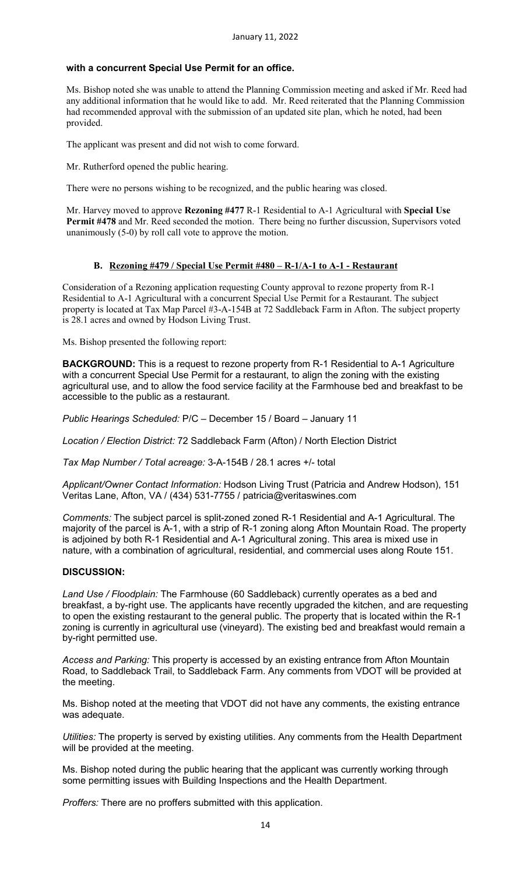### **with a concurrent Special Use Permit for an office.**

Ms. Bishop noted she was unable to attend the Planning Commission meeting and asked if Mr. Reed had any additional information that he would like to add. Mr. Reed reiterated that the Planning Commission had recommended approval with the submission of an updated site plan, which he noted, had been provided.

The applicant was present and did not wish to come forward.

Mr. Rutherford opened the public hearing.

There were no persons wishing to be recognized, and the public hearing was closed.

Mr. Harvey moved to approve **Rezoning #477** R-1 Residential to A-1 Agricultural with **Special Use Permit #478** and Mr. Reed seconded the motion. There being no further discussion, Supervisors voted unanimously (5-0) by roll call vote to approve the motion.

# **B. Rezoning #479 / Special Use Permit #480 – R-1/A-1 to A-1 - Restaurant**

Consideration of a Rezoning application requesting County approval to rezone property from R-1 Residential to A-1 Agricultural with a concurrent Special Use Permit for a Restaurant. The subject property is located at Tax Map Parcel #3-A-154B at 72 Saddleback Farm in Afton. The subject property is 28.1 acres and owned by Hodson Living Trust.

Ms. Bishop presented the following report:

**BACKGROUND:** This is a request to rezone property from R-1 Residential to A-1 Agriculture with a concurrent Special Use Permit for a restaurant, to align the zoning with the existing agricultural use, and to allow the food service facility at the Farmhouse bed and breakfast to be accessible to the public as a restaurant.

*Public Hearings Scheduled:* P/C – December 15 / Board – January 11

*Location / Election District:* 72 Saddleback Farm (Afton) / North Election District

*Tax Map Number / Total acreage:* 3-A-154B / 28.1 acres +/- total

*Applicant/Owner Contact Information:* Hodson Living Trust (Patricia and Andrew Hodson), 151 Veritas Lane, Afton, VA / (434) 531-7755 / patricia@veritaswines.com

*Comments:* The subject parcel is split-zoned zoned R-1 Residential and A-1 Agricultural. The majority of the parcel is A-1, with a strip of R-1 zoning along Afton Mountain Road. The property is adjoined by both R-1 Residential and A-1 Agricultural zoning. This area is mixed use in nature, with a combination of agricultural, residential, and commercial uses along Route 151.

# **DISCUSSION:**

*Land Use / Floodplain:* The Farmhouse (60 Saddleback) currently operates as a bed and breakfast, a by-right use. The applicants have recently upgraded the kitchen, and are requesting to open the existing restaurant to the general public. The property that is located within the R-1 zoning is currently in agricultural use (vineyard). The existing bed and breakfast would remain a by-right permitted use.

*Access and Parking:* This property is accessed by an existing entrance from Afton Mountain Road, to Saddleback Trail, to Saddleback Farm. Any comments from VDOT will be provided at the meeting.

Ms. Bishop noted at the meeting that VDOT did not have any comments, the existing entrance was adequate.

*Utilities:* The property is served by existing utilities. Any comments from the Health Department will be provided at the meeting.

Ms. Bishop noted during the public hearing that the applicant was currently working through some permitting issues with Building Inspections and the Health Department.

*Proffers:* There are no proffers submitted with this application.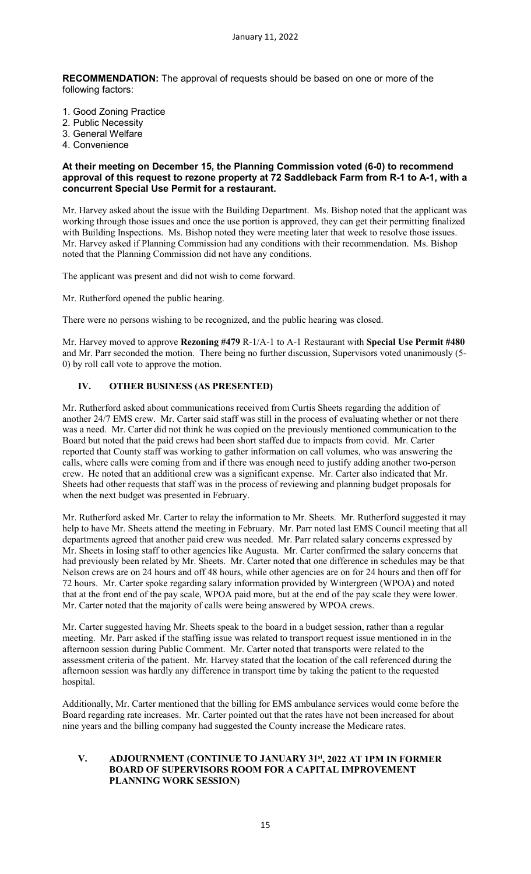**RECOMMENDATION:** The approval of requests should be based on one or more of the following factors:

- 1. Good Zoning Practice
- 2. Public Necessity
- 3. General Welfare
- 4. Convenience

#### **At their meeting on December 15, the Planning Commission voted (6-0) to recommend approval of this request to rezone property at 72 Saddleback Farm from R-1 to A-1, with a concurrent Special Use Permit for a restaurant.**

Mr. Harvey asked about the issue with the Building Department. Ms. Bishop noted that the applicant was working through those issues and once the use portion is approved, they can get their permitting finalized with Building Inspections. Ms. Bishop noted they were meeting later that week to resolve those issues. Mr. Harvey asked if Planning Commission had any conditions with their recommendation. Ms. Bishop noted that the Planning Commission did not have any conditions.

The applicant was present and did not wish to come forward.

Mr. Rutherford opened the public hearing.

There were no persons wishing to be recognized, and the public hearing was closed.

Mr. Harvey moved to approve **Rezoning #479** R-1/A-1 to A-1 Restaurant with **Special Use Permit #480** and Mr. Parr seconded the motion. There being no further discussion, Supervisors voted unanimously (5- 0) by roll call vote to approve the motion.

# **IV. OTHER BUSINESS (AS PRESENTED)**

Mr. Rutherford asked about communications received from Curtis Sheets regarding the addition of another 24/7 EMS crew. Mr. Carter said staff was still in the process of evaluating whether or not there was a need. Mr. Carter did not think he was copied on the previously mentioned communication to the Board but noted that the paid crews had been short staffed due to impacts from covid. Mr. Carter reported that County staff was working to gather information on call volumes, who was answering the calls, where calls were coming from and if there was enough need to justify adding another two-person crew. He noted that an additional crew was a significant expense. Mr. Carter also indicated that Mr. Sheets had other requests that staff was in the process of reviewing and planning budget proposals for when the next budget was presented in February.

Mr. Rutherford asked Mr. Carter to relay the information to Mr. Sheets. Mr. Rutherford suggested it may help to have Mr. Sheets attend the meeting in February. Mr. Parr noted last EMS Council meeting that all departments agreed that another paid crew was needed. Mr. Parr related salary concerns expressed by Mr. Sheets in losing staff to other agencies like Augusta. Mr. Carter confirmed the salary concerns that had previously been related by Mr. Sheets. Mr. Carter noted that one difference in schedules may be that Nelson crews are on 24 hours and off 48 hours, while other agencies are on for 24 hours and then off for 72 hours. Mr. Carter spoke regarding salary information provided by Wintergreen (WPOA) and noted that at the front end of the pay scale, WPOA paid more, but at the end of the pay scale they were lower. Mr. Carter noted that the majority of calls were being answered by WPOA crews.

Mr. Carter suggested having Mr. Sheets speak to the board in a budget session, rather than a regular meeting. Mr. Parr asked if the staffing issue was related to transport request issue mentioned in in the afternoon session during Public Comment. Mr. Carter noted that transports were related to the assessment criteria of the patient. Mr. Harvey stated that the location of the call referenced during the afternoon session was hardly any difference in transport time by taking the patient to the requested hospital.

Additionally, Mr. Carter mentioned that the billing for EMS ambulance services would come before the Board regarding rate increases. Mr. Carter pointed out that the rates have not been increased for about nine years and the billing company had suggested the County increase the Medicare rates.

#### **V. ADJOURNMENT (CONTINUE TO JANUARY 31st, 2022 AT 1PM IN FORMER BOARD OF SUPERVISORS ROOM FOR A CAPITAL IMPROVEMENT PLANNING WORK SESSION)**